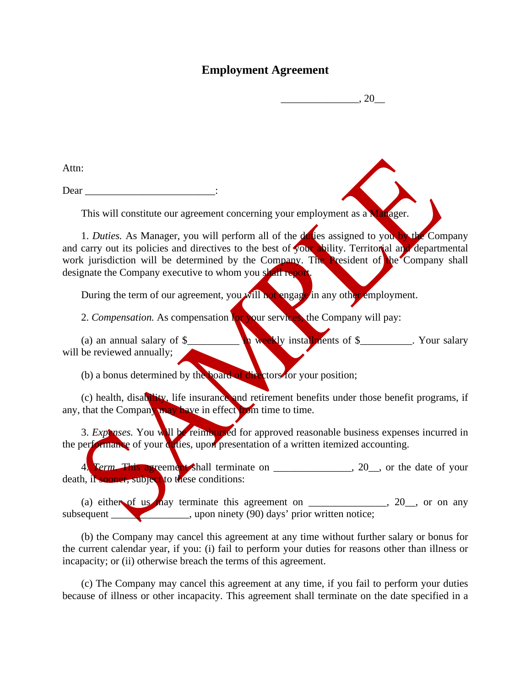## **Employment Agreement**

 $\cdot$  20

Attn:

Dear  $\Box$ 

This will constitute our agreement concerning your employment as a **Manager**.

1. *Duties.* As Manager, you will perform all of the duties assigned to you by the Company and carry out its policies and directives to the best of your ability. Territorial and departmental work jurisdiction will be determined by the Company. The President of the Company shall designate the Company executive to whom you shall report.

During the term of our agreement, you will not engage in any other employment.

2. *Compensation.* As compensation for your services, the Company will pay:

(a) an annual salary of \$\_\_\_\_\_\_\_\_\_\_ in weekly installments of \$\_\_\_\_\_\_\_\_\_\_. Your salary will be reviewed annually;

(b) a bonus determined by the board of directors for your position;

(c) health, disability, life insurance and retirement benefits under those benefit programs, if any, that the Company may have in effect from time to time.

3. *Expenses.* You will be reimbursed for approved reasonable business expenses incurred in the performance of your duties, upon presentation of a written itemized accounting.

4. *Term.* This agreement shall terminate on \_\_\_\_\_\_\_\_\_\_\_\_\_\_, 20\_, or the date of your death, if sooner, subject to these conditions:

(a) either of us may terminate this agreement on  $\frac{1}{\sqrt{2}}$ ,  $\frac{20}{\sqrt{2}}$ , or on any subsequent \_\_\_\_\_\_\_\_\_\_\_\_\_\_\_, upon ninety (90) days' prior written notice;

(b) the Company may cancel this agreement at any time without further salary or bonus for the current calendar year, if you: (i) fail to perform your duties for reasons other than illness or incapacity; or (ii) otherwise breach the terms of this agreement.

(c) The Company may cancel this agreement at any time, if you fail to perform your duties because of illness or other incapacity. This agreement shall terminate on the date specified in a